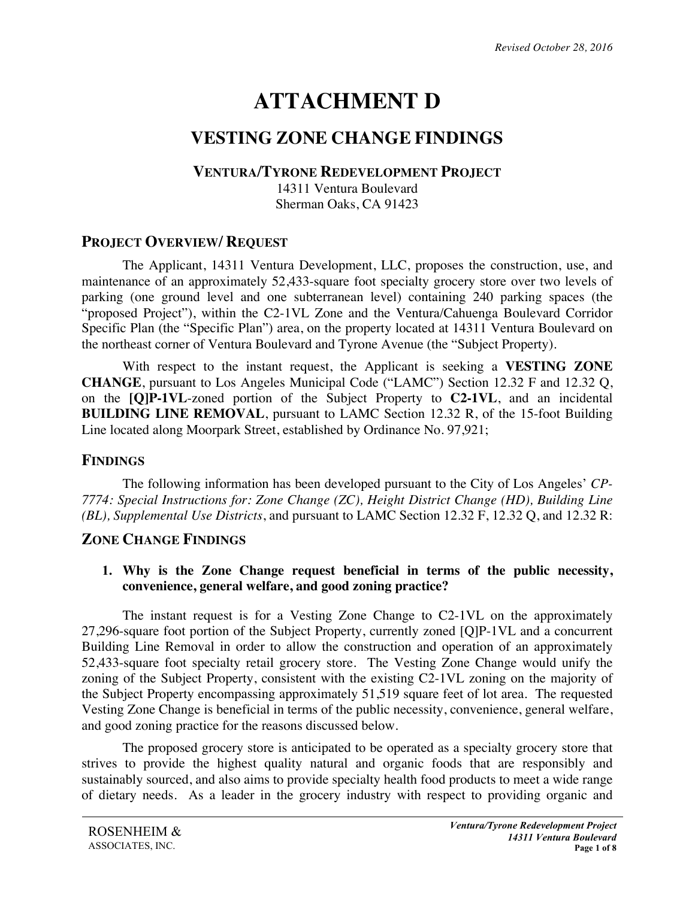# **ATTACHMENT D**

# **VESTING ZONE CHANGE FINDINGS**

#### **VENTURA/TYRONE REDEVELOPMENT PROJECT**

14311 Ventura Boulevard Sherman Oaks, CA 91423

# **PROJECT OVERVIEW/ REQUEST**

The Applicant, 14311 Ventura Development, LLC, proposes the construction, use, and maintenance of an approximately 52,433-square foot specialty grocery store over two levels of parking (one ground level and one subterranean level) containing 240 parking spaces (the "proposed Project"), within the C2-1VL Zone and the Ventura/Cahuenga Boulevard Corridor Specific Plan (the "Specific Plan") area, on the property located at 14311 Ventura Boulevard on the northeast corner of Ventura Boulevard and Tyrone Avenue (the "Subject Property).

With respect to the instant request, the Applicant is seeking a **VESTING ZONE CHANGE**, pursuant to Los Angeles Municipal Code ("LAMC") Section 12.32 F and 12.32 Q, on the **[Q]P-1VL**-zoned portion of the Subject Property to **C2-1VL**, and an incidental **BUILDING LINE REMOVAL**, pursuant to LAMC Section 12.32 R, of the 15-foot Building Line located along Moorpark Street, established by Ordinance No. 97,921;

# **FINDINGS**

The following information has been developed pursuant to the City of Los Angeles' *CP-7774: Special Instructions for: Zone Change (ZC), Height District Change (HD), Building Line (BL), Supplemental Use Districts*, and pursuant to LAMC Section 12.32 F, 12.32 Q, and 12.32 R:

# **ZONE CHANGE FINDINGS**

#### **1. Why is the Zone Change request beneficial in terms of the public necessity, convenience, general welfare, and good zoning practice?**

The instant request is for a Vesting Zone Change to C2-1VL on the approximately 27,296-square foot portion of the Subject Property, currently zoned [Q]P-1VL and a concurrent Building Line Removal in order to allow the construction and operation of an approximately 52,433-square foot specialty retail grocery store. The Vesting Zone Change would unify the zoning of the Subject Property, consistent with the existing C2-1VL zoning on the majority of the Subject Property encompassing approximately 51,519 square feet of lot area. The requested Vesting Zone Change is beneficial in terms of the public necessity, convenience, general welfare, and good zoning practice for the reasons discussed below.

The proposed grocery store is anticipated to be operated as a specialty grocery store that strives to provide the highest quality natural and organic foods that are responsibly and sustainably sourced, and also aims to provide specialty health food products to meet a wide range of dietary needs. As a leader in the grocery industry with respect to providing organic and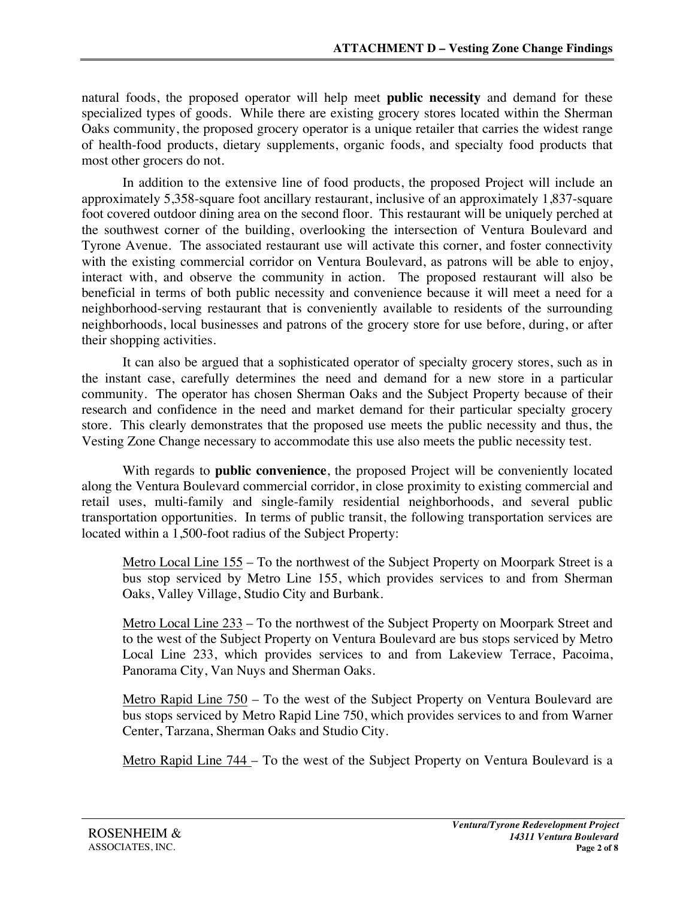natural foods, the proposed operator will help meet **public necessity** and demand for these specialized types of goods. While there are existing grocery stores located within the Sherman Oaks community, the proposed grocery operator is a unique retailer that carries the widest range of health-food products, dietary supplements, organic foods, and specialty food products that most other grocers do not.

In addition to the extensive line of food products, the proposed Project will include an approximately 5,358-square foot ancillary restaurant, inclusive of an approximately 1,837-square foot covered outdoor dining area on the second floor. This restaurant will be uniquely perched at the southwest corner of the building, overlooking the intersection of Ventura Boulevard and Tyrone Avenue. The associated restaurant use will activate this corner, and foster connectivity with the existing commercial corridor on Ventura Boulevard, as patrons will be able to enjoy, interact with, and observe the community in action. The proposed restaurant will also be beneficial in terms of both public necessity and convenience because it will meet a need for a neighborhood-serving restaurant that is conveniently available to residents of the surrounding neighborhoods, local businesses and patrons of the grocery store for use before, during, or after their shopping activities.

It can also be argued that a sophisticated operator of specialty grocery stores, such as in the instant case, carefully determines the need and demand for a new store in a particular community. The operator has chosen Sherman Oaks and the Subject Property because of their research and confidence in the need and market demand for their particular specialty grocery store. This clearly demonstrates that the proposed use meets the public necessity and thus, the Vesting Zone Change necessary to accommodate this use also meets the public necessity test.

With regards to **public convenience**, the proposed Project will be conveniently located along the Ventura Boulevard commercial corridor, in close proximity to existing commercial and retail uses, multi-family and single-family residential neighborhoods, and several public transportation opportunities. In terms of public transit, the following transportation services are located within a 1,500-foot radius of the Subject Property:

Metro Local Line 155 – To the northwest of the Subject Property on Moorpark Street is a bus stop serviced by Metro Line 155, which provides services to and from Sherman Oaks, Valley Village, Studio City and Burbank.

Metro Local Line 233 – To the northwest of the Subject Property on Moorpark Street and to the west of the Subject Property on Ventura Boulevard are bus stops serviced by Metro Local Line 233, which provides services to and from Lakeview Terrace, Pacoima, Panorama City, Van Nuys and Sherman Oaks.

Metro Rapid Line 750 – To the west of the Subject Property on Ventura Boulevard are bus stops serviced by Metro Rapid Line 750, which provides services to and from Warner Center, Tarzana, Sherman Oaks and Studio City.

Metro Rapid Line 744 – To the west of the Subject Property on Ventura Boulevard is a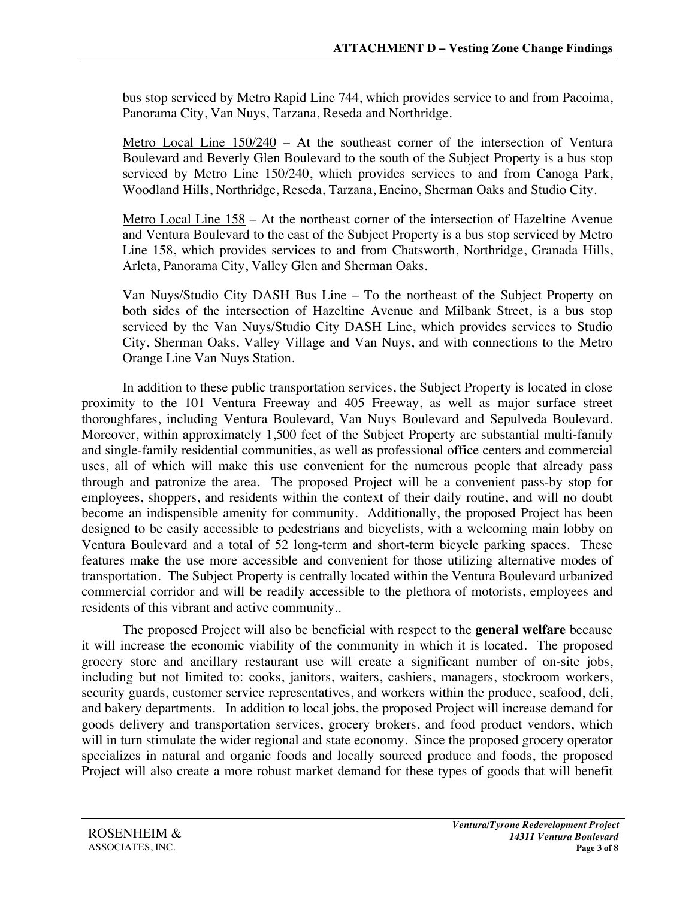bus stop serviced by Metro Rapid Line 744, which provides service to and from Pacoima, Panorama City, Van Nuys, Tarzana, Reseda and Northridge.

Metro Local Line  $150/240$  – At the southeast corner of the intersection of Ventura Boulevard and Beverly Glen Boulevard to the south of the Subject Property is a bus stop serviced by Metro Line 150/240, which provides services to and from Canoga Park, Woodland Hills, Northridge, Reseda, Tarzana, Encino, Sherman Oaks and Studio City.

Metro Local Line 158 – At the northeast corner of the intersection of Hazeltine Avenue and Ventura Boulevard to the east of the Subject Property is a bus stop serviced by Metro Line 158, which provides services to and from Chatsworth, Northridge, Granada Hills, Arleta, Panorama City, Valley Glen and Sherman Oaks.

Van Nuys/Studio City DASH Bus Line – To the northeast of the Subject Property on both sides of the intersection of Hazeltine Avenue and Milbank Street, is a bus stop serviced by the Van Nuys/Studio City DASH Line, which provides services to Studio City, Sherman Oaks, Valley Village and Van Nuys, and with connections to the Metro Orange Line Van Nuys Station.

In addition to these public transportation services, the Subject Property is located in close proximity to the 101 Ventura Freeway and 405 Freeway, as well as major surface street thoroughfares, including Ventura Boulevard, Van Nuys Boulevard and Sepulveda Boulevard. Moreover, within approximately 1,500 feet of the Subject Property are substantial multi-family and single-family residential communities, as well as professional office centers and commercial uses, all of which will make this use convenient for the numerous people that already pass through and patronize the area. The proposed Project will be a convenient pass-by stop for employees, shoppers, and residents within the context of their daily routine, and will no doubt become an indispensible amenity for community. Additionally, the proposed Project has been designed to be easily accessible to pedestrians and bicyclists, with a welcoming main lobby on Ventura Boulevard and a total of 52 long-term and short-term bicycle parking spaces. These features make the use more accessible and convenient for those utilizing alternative modes of transportation. The Subject Property is centrally located within the Ventura Boulevard urbanized commercial corridor and will be readily accessible to the plethora of motorists, employees and residents of this vibrant and active community..

The proposed Project will also be beneficial with respect to the **general welfare** because it will increase the economic viability of the community in which it is located. The proposed grocery store and ancillary restaurant use will create a significant number of on-site jobs, including but not limited to: cooks, janitors, waiters, cashiers, managers, stockroom workers, security guards, customer service representatives, and workers within the produce, seafood, deli, and bakery departments. In addition to local jobs, the proposed Project will increase demand for goods delivery and transportation services, grocery brokers, and food product vendors, which will in turn stimulate the wider regional and state economy. Since the proposed grocery operator specializes in natural and organic foods and locally sourced produce and foods, the proposed Project will also create a more robust market demand for these types of goods that will benefit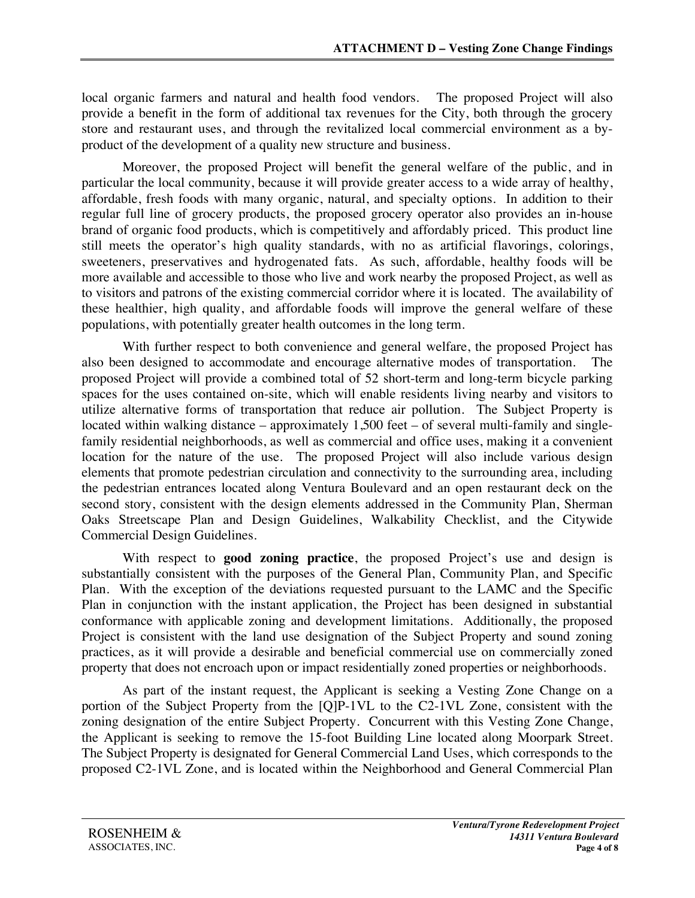local organic farmers and natural and health food vendors. The proposed Project will also provide a benefit in the form of additional tax revenues for the City, both through the grocery store and restaurant uses, and through the revitalized local commercial environment as a byproduct of the development of a quality new structure and business.

Moreover, the proposed Project will benefit the general welfare of the public, and in particular the local community, because it will provide greater access to a wide array of healthy, affordable, fresh foods with many organic, natural, and specialty options. In addition to their regular full line of grocery products, the proposed grocery operator also provides an in-house brand of organic food products, which is competitively and affordably priced. This product line still meets the operator's high quality standards, with no as artificial flavorings, colorings, sweeteners, preservatives and hydrogenated fats. As such, affordable, healthy foods will be more available and accessible to those who live and work nearby the proposed Project, as well as to visitors and patrons of the existing commercial corridor where it is located. The availability of these healthier, high quality, and affordable foods will improve the general welfare of these populations, with potentially greater health outcomes in the long term.

With further respect to both convenience and general welfare, the proposed Project has also been designed to accommodate and encourage alternative modes of transportation. The proposed Project will provide a combined total of 52 short-term and long-term bicycle parking spaces for the uses contained on-site, which will enable residents living nearby and visitors to utilize alternative forms of transportation that reduce air pollution. The Subject Property is located within walking distance – approximately 1,500 feet – of several multi-family and singlefamily residential neighborhoods, as well as commercial and office uses, making it a convenient location for the nature of the use. The proposed Project will also include various design elements that promote pedestrian circulation and connectivity to the surrounding area, including the pedestrian entrances located along Ventura Boulevard and an open restaurant deck on the second story, consistent with the design elements addressed in the Community Plan, Sherman Oaks Streetscape Plan and Design Guidelines, Walkability Checklist, and the Citywide Commercial Design Guidelines.

With respect to **good zoning practice**, the proposed Project's use and design is substantially consistent with the purposes of the General Plan, Community Plan, and Specific Plan. With the exception of the deviations requested pursuant to the LAMC and the Specific Plan in conjunction with the instant application, the Project has been designed in substantial conformance with applicable zoning and development limitations. Additionally, the proposed Project is consistent with the land use designation of the Subject Property and sound zoning practices, as it will provide a desirable and beneficial commercial use on commercially zoned property that does not encroach upon or impact residentially zoned properties or neighborhoods.

As part of the instant request, the Applicant is seeking a Vesting Zone Change on a portion of the Subject Property from the [Q]P-1VL to the C2-1VL Zone, consistent with the zoning designation of the entire Subject Property. Concurrent with this Vesting Zone Change, the Applicant is seeking to remove the 15-foot Building Line located along Moorpark Street. The Subject Property is designated for General Commercial Land Uses, which corresponds to the proposed C2-1VL Zone, and is located within the Neighborhood and General Commercial Plan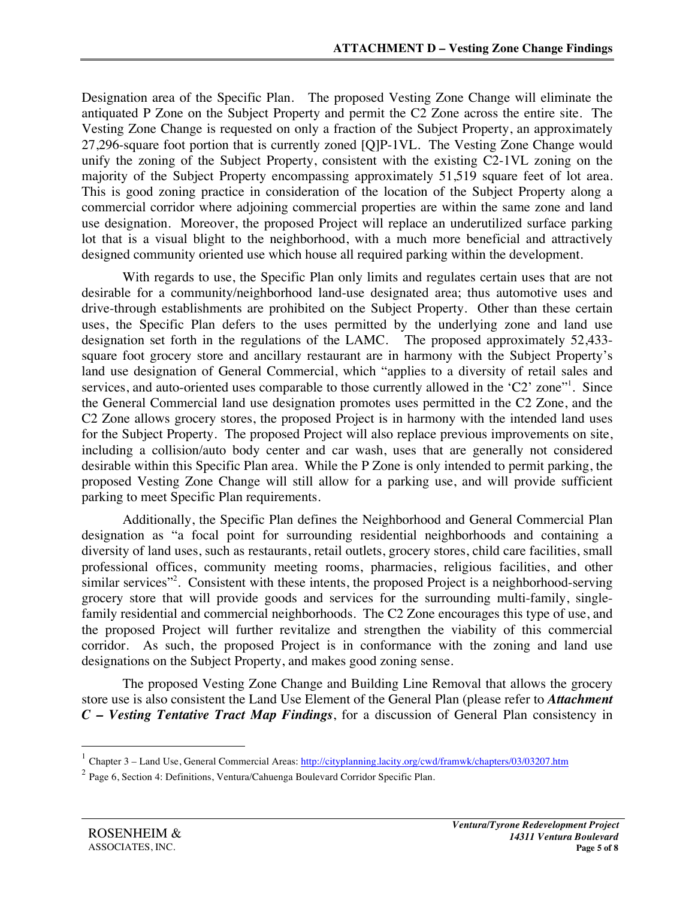Designation area of the Specific Plan. The proposed Vesting Zone Change will eliminate the antiquated P Zone on the Subject Property and permit the C2 Zone across the entire site. The Vesting Zone Change is requested on only a fraction of the Subject Property, an approximately 27,296-square foot portion that is currently zoned [Q]P-1VL. The Vesting Zone Change would unify the zoning of the Subject Property, consistent with the existing C2-1VL zoning on the majority of the Subject Property encompassing approximately 51,519 square feet of lot area. This is good zoning practice in consideration of the location of the Subject Property along a commercial corridor where adjoining commercial properties are within the same zone and land use designation. Moreover, the proposed Project will replace an underutilized surface parking lot that is a visual blight to the neighborhood, with a much more beneficial and attractively designed community oriented use which house all required parking within the development.

With regards to use, the Specific Plan only limits and regulates certain uses that are not desirable for a community/neighborhood land-use designated area; thus automotive uses and drive-through establishments are prohibited on the Subject Property. Other than these certain uses, the Specific Plan defers to the uses permitted by the underlying zone and land use designation set forth in the regulations of the LAMC. The proposed approximately 52,433 square foot grocery store and ancillary restaurant are in harmony with the Subject Property's land use designation of General Commercial, which "applies to a diversity of retail sales and services, and auto-oriented uses comparable to those currently allowed in the 'C2' zone"<sup>1</sup>. Since the General Commercial land use designation promotes uses permitted in the C2 Zone, and the C2 Zone allows grocery stores, the proposed Project is in harmony with the intended land uses for the Subject Property. The proposed Project will also replace previous improvements on site, including a collision/auto body center and car wash, uses that are generally not considered desirable within this Specific Plan area. While the P Zone is only intended to permit parking, the proposed Vesting Zone Change will still allow for a parking use, and will provide sufficient parking to meet Specific Plan requirements.

Additionally, the Specific Plan defines the Neighborhood and General Commercial Plan designation as "a focal point for surrounding residential neighborhoods and containing a diversity of land uses, such as restaurants, retail outlets, grocery stores, child care facilities, small professional offices, community meeting rooms, pharmacies, religious facilities, and other similar services"<sup>2</sup>. Consistent with these intents, the proposed Project is a neighborhood-serving grocery store that will provide goods and services for the surrounding multi-family, singlefamily residential and commercial neighborhoods. The C2 Zone encourages this type of use, and the proposed Project will further revitalize and strengthen the viability of this commercial corridor. As such, the proposed Project is in conformance with the zoning and land use designations on the Subject Property, and makes good zoning sense.

The proposed Vesting Zone Change and Building Line Removal that allows the grocery store use is also consistent the Land Use Element of the General Plan (please refer to *Attachment C – Vesting Tentative Tract Map Findings*, for a discussion of General Plan consistency in

 

<sup>&</sup>lt;sup>1</sup> Chapter 3 – Land Use, General Commercial Areas: http://cityplanning.lacity.org/cwd/framwk/chapters/03/03207.htm

<sup>2</sup> Page 6, Section 4: Definitions, Ventura/Cahuenga Boulevard Corridor Specific Plan.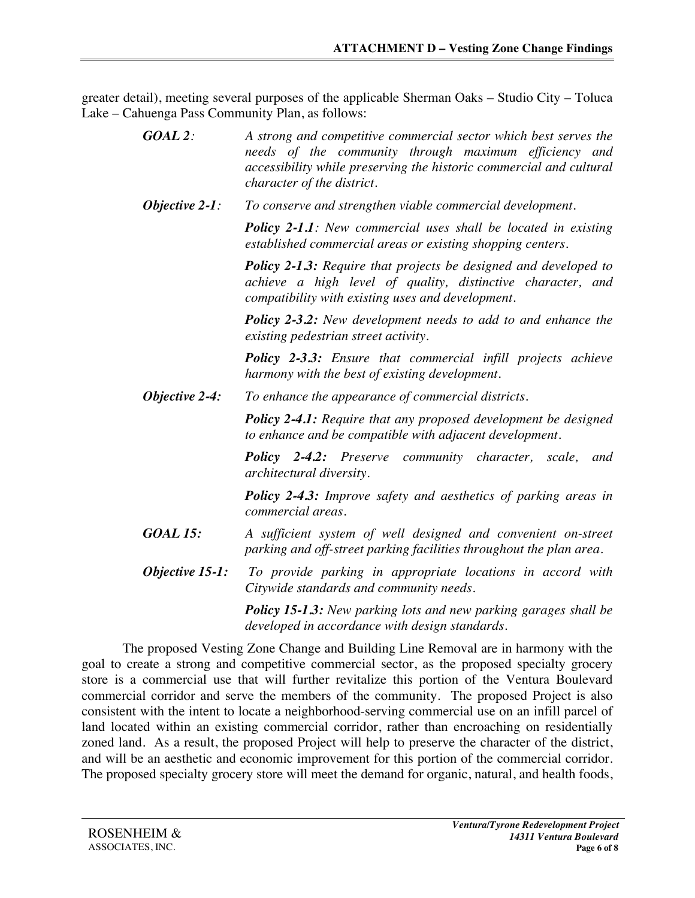greater detail), meeting several purposes of the applicable Sherman Oaks – Studio City – Toluca Lake – Cahuenga Pass Community Plan, as follows:

| $GOAL$ 2:         | A strong and competitive commercial sector which best serves the<br>needs of the community through maximum efficiency and<br>accessibility while preserving the historic commercial and cultural<br>character of the district. |
|-------------------|--------------------------------------------------------------------------------------------------------------------------------------------------------------------------------------------------------------------------------|
| Objective $2-1$ : | To conserve and strengthen viable commercial development.                                                                                                                                                                      |
|                   | <b>Policy 2-1.1:</b> New commercial uses shall be located in existing<br>established commercial areas or existing shopping centers.                                                                                            |
|                   | <b>Policy 2-1.3:</b> Require that projects be designed and developed to<br>achieve a high level of quality, distinctive character, and<br>compatibility with existing uses and development.                                    |
|                   | <b>Policy 2-3.2:</b> New development needs to add to and enhance the<br>existing pedestrian street activity.                                                                                                                   |
|                   | <b>Policy 2-3.3:</b> Ensure that commercial infill projects achieve<br>harmony with the best of existing development.                                                                                                          |
| Objective 2-4:    | To enhance the appearance of commercial districts.                                                                                                                                                                             |
|                   | <b>Policy 2-4.1:</b> Require that any proposed development be designed<br>to enhance and be compatible with adjacent development.                                                                                              |
|                   | <b>Policy 2-4.2:</b> Preserve community character, scale,<br>and<br>architectural diversity.                                                                                                                                   |
|                   | <b>Policy 2-4.3:</b> Improve safety and aesthetics of parking areas in<br>commercial areas.                                                                                                                                    |
| <b>GOAL 15:</b>   | A sufficient system of well designed and convenient on-street<br>parking and off-street parking facilities throughout the plan area.                                                                                           |
| Objective 15-1:   | To provide parking in appropriate locations in accord with<br>Citywide standards and community needs.                                                                                                                          |
|                   | <b>Policy 15-1.3:</b> New parking lots and new parking garages shall be<br>developed in accordance with design standards.                                                                                                      |

The proposed Vesting Zone Change and Building Line Removal are in harmony with the goal to create a strong and competitive commercial sector, as the proposed specialty grocery store is a commercial use that will further revitalize this portion of the Ventura Boulevard commercial corridor and serve the members of the community. The proposed Project is also consistent with the intent to locate a neighborhood-serving commercial use on an infill parcel of land located within an existing commercial corridor, rather than encroaching on residentially zoned land. As a result, the proposed Project will help to preserve the character of the district, and will be an aesthetic and economic improvement for this portion of the commercial corridor. The proposed specialty grocery store will meet the demand for organic, natural, and health foods,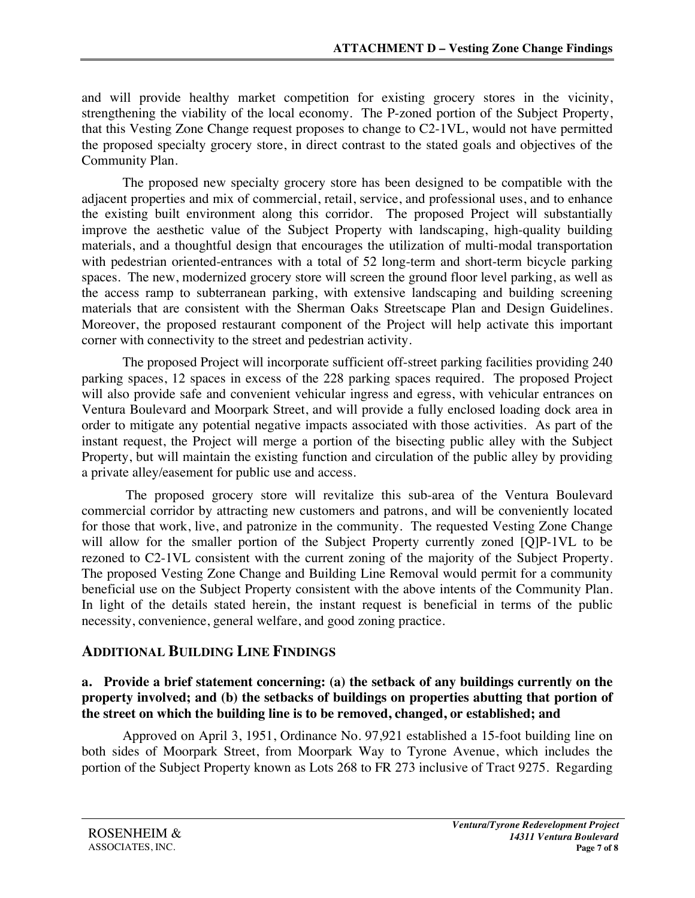and will provide healthy market competition for existing grocery stores in the vicinity, strengthening the viability of the local economy. The P-zoned portion of the Subject Property, that this Vesting Zone Change request proposes to change to C2-1VL, would not have permitted the proposed specialty grocery store, in direct contrast to the stated goals and objectives of the Community Plan.

The proposed new specialty grocery store has been designed to be compatible with the adjacent properties and mix of commercial, retail, service, and professional uses, and to enhance the existing built environment along this corridor. The proposed Project will substantially improve the aesthetic value of the Subject Property with landscaping, high-quality building materials, and a thoughtful design that encourages the utilization of multi-modal transportation with pedestrian oriented-entrances with a total of 52 long-term and short-term bicycle parking spaces. The new, modernized grocery store will screen the ground floor level parking, as well as the access ramp to subterranean parking, with extensive landscaping and building screening materials that are consistent with the Sherman Oaks Streetscape Plan and Design Guidelines. Moreover, the proposed restaurant component of the Project will help activate this important corner with connectivity to the street and pedestrian activity.

The proposed Project will incorporate sufficient off-street parking facilities providing 240 parking spaces, 12 spaces in excess of the 228 parking spaces required. The proposed Project will also provide safe and convenient vehicular ingress and egress, with vehicular entrances on Ventura Boulevard and Moorpark Street, and will provide a fully enclosed loading dock area in order to mitigate any potential negative impacts associated with those activities. As part of the instant request, the Project will merge a portion of the bisecting public alley with the Subject Property, but will maintain the existing function and circulation of the public alley by providing a private alley/easement for public use and access.

The proposed grocery store will revitalize this sub-area of the Ventura Boulevard commercial corridor by attracting new customers and patrons, and will be conveniently located for those that work, live, and patronize in the community. The requested Vesting Zone Change will allow for the smaller portion of the Subject Property currently zoned [Q]P-1VL to be rezoned to C2-1VL consistent with the current zoning of the majority of the Subject Property. The proposed Vesting Zone Change and Building Line Removal would permit for a community beneficial use on the Subject Property consistent with the above intents of the Community Plan. In light of the details stated herein, the instant request is beneficial in terms of the public necessity, convenience, general welfare, and good zoning practice.

# **ADDITIONAL BUILDING LINE FINDINGS**

#### **a. Provide a brief statement concerning: (a) the setback of any buildings currently on the property involved; and (b) the setbacks of buildings on properties abutting that portion of the street on which the building line is to be removed, changed, or established; and**

Approved on April 3, 1951, Ordinance No. 97,921 established a 15-foot building line on both sides of Moorpark Street, from Moorpark Way to Tyrone Avenue, which includes the portion of the Subject Property known as Lots 268 to FR 273 inclusive of Tract 9275. Regarding